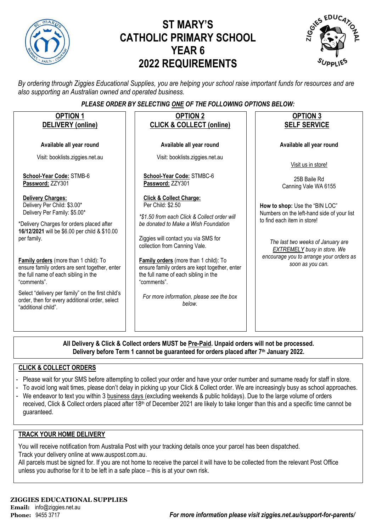

# **ST MARY'S CATHOLIC PRIMARY SCHOOL YEAR 6 2022 REQUIREMENTS**



*By ordering through Ziggies Educational Supplies, you are helping your school raise important funds for resources and are also supporting an Australian owned and operated business.*

#### *PLEASE ORDER BY SELECTING ONE OF THE FOLLOWING OPTIONS BELOW:*

| <b>OPTION 1</b><br>DELIVERY (online)                                                                                                                                                                                                                                                                                                                                                                                                                                                | <b>OPTION 2</b><br><b>CLICK &amp; COLLECT (online)</b>                                                                                                                                                                                                                                                                                                                                                                          | <b>OPTION 3</b><br><b>SELF SERVICE</b>                                                                                                                                                                                                                |
|-------------------------------------------------------------------------------------------------------------------------------------------------------------------------------------------------------------------------------------------------------------------------------------------------------------------------------------------------------------------------------------------------------------------------------------------------------------------------------------|---------------------------------------------------------------------------------------------------------------------------------------------------------------------------------------------------------------------------------------------------------------------------------------------------------------------------------------------------------------------------------------------------------------------------------|-------------------------------------------------------------------------------------------------------------------------------------------------------------------------------------------------------------------------------------------------------|
| Available all year round                                                                                                                                                                                                                                                                                                                                                                                                                                                            | Available all year round                                                                                                                                                                                                                                                                                                                                                                                                        | Available all year round                                                                                                                                                                                                                              |
| Visit: booklists.ziggies.net.au                                                                                                                                                                                                                                                                                                                                                                                                                                                     | Visit: booklists.ziggies.net.au                                                                                                                                                                                                                                                                                                                                                                                                 | Visit us in store!                                                                                                                                                                                                                                    |
| School-Year Code: STMB-6<br>Password: ZZY301                                                                                                                                                                                                                                                                                                                                                                                                                                        | School-Year Code: STMBC-6<br>Password: ZZY301                                                                                                                                                                                                                                                                                                                                                                                   | 25B Baile Rd<br>Canning Vale WA 6155                                                                                                                                                                                                                  |
| <b>Delivery Charges:</b><br>Delivery Per Child: \$3.00*<br>Delivery Per Family: \$5.00*<br>*Delivery Charges for orders placed after<br>16/12/2021 will be \$6.00 per child & \$10.00<br>per family.<br>Family orders (more than 1 child): To<br>ensure family orders are sent together, enter<br>the full name of each sibling in the<br>"comments".<br>Select "delivery per family" on the first child's<br>order, then for every additional order, select<br>"additional child". | <b>Click &amp; Collect Charge:</b><br>Per Child: \$2.50<br>*\$1.50 from each Click & Collect order will<br>be donated to Make a Wish Foundation<br>Ziggies will contact you via SMS for<br>collection from Canning Vale.<br>Family orders (more than 1 child): To<br>ensure family orders are kept together, enter<br>the full name of each sibling in the<br>"comments".<br>For more information, please see the box<br>below. | How to shop: Use the "BIN LOC"<br>Numbers on the left-hand side of your list<br>to find each item in store!<br>The last two weeks of January are<br><b>EXTREMELY</b> busy in store. We<br>encourage you to arrange your orders as<br>soon as you can. |
|                                                                                                                                                                                                                                                                                                                                                                                                                                                                                     | All Delivers 0. Oliel, 0. Onlland andere MUCT ha Dre Deid. Hungeld andere will not he was                                                                                                                                                                                                                                                                                                                                       |                                                                                                                                                                                                                                                       |

**All Delivery & Click & Collect orders MUST be Pre-Paid. Unpaid orders will not be processed. Delivery before Term 1 cannot be guaranteed for orders placed after 7th January 2022.**

#### **CLICK & COLLECT ORDERS**

- Please wait for your SMS before attempting to collect your order and have your order number and surname ready for staff in store.
- To avoid long wait times, please don't delay in picking up your Click & Collect order. We are increasingly busy as school approaches.
- We endeavor to text you within 3 business days (excluding weekends & public holidays). Due to the large volume of orders received, Click & Collect orders placed after 18<sup>th</sup> of December 2021 are likely to take longer than this and a specific time cannot be guaranteed.

#### **TRACK YOUR HOME DELIVERY**

You will receive notification from Australia Post with your tracking details once your parcel has been dispatched. Track your delivery online a[t www.auspost.com.au.](http://www.auspost.com.au/)

All parcels must be signed for. If you are not home to receive the parcel it will have to be collected from the relevant Post Office unless you authorise for it to be left in a safe place – this is at your own risk.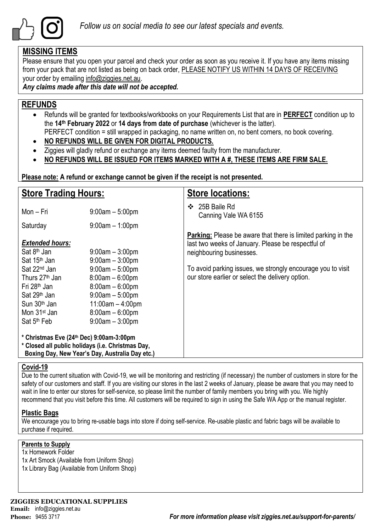

### **MISSING ITEMS**

Please ensure that you open your parcel and check your order as soon as you receive it. If you have any items missing from your pack that are not listed as being on back order, PLEASE NOTIFY US WITHIN 14 DAYS OF RECEIVING your order by emailing info@ziggies.net.au.

*Any claims made after this date will not be accepted.*

## **REFUNDS**

- Refunds will be granted for textbooks/workbooks on your Requirements List that are in **PERFECT** condition up to the **14th February 2022** or **14 days from date of purchase** (whichever is the latter). PERFECT condition = still wrapped in packaging, no name written on, no bent corners, no book covering.
- **NO REFUNDS WILL BE GIVEN FOR DIGITAL PRODUCTS.**
- Ziggies will gladly refund or exchange any items deemed faulty from the manufacturer.
- **NO REFUNDS WILL BE ISSUED FOR ITEMS MARKED WITH A #, THESE ITEMS ARE FIRM SALE.**

**Please note: A refund or exchange cannot be given if the receipt is not presented.**

| <b>Store Trading Hours:</b>                                                                                                                                                                       |                                                                                                                                                  | <b>Store locations:</b>                                                                                                                                |
|---------------------------------------------------------------------------------------------------------------------------------------------------------------------------------------------------|--------------------------------------------------------------------------------------------------------------------------------------------------|--------------------------------------------------------------------------------------------------------------------------------------------------------|
| Mon - Fri                                                                                                                                                                                         | $9:00am - 5:00pm$                                                                                                                                | 25B Baile Rd<br>❖<br>Canning Vale WA 6155                                                                                                              |
| Saturday                                                                                                                                                                                          | $9:00am - 1:00pm$                                                                                                                                |                                                                                                                                                        |
| <b>Extended hours:</b><br>Sat 8 <sup>th</sup> Jan<br>Sat 15 <sup>th</sup> Jan                                                                                                                     | $9:00$ am $-3:00$ pm<br>$9:00am - 3:00pm$                                                                                                        | <b>Parking:</b> Please be aware that there is limited parking in the<br>last two weeks of January. Please be respectful of<br>neighbouring businesses. |
| Sat 22 <sup>nd</sup> Jan<br>Thurs 27 <sup>th</sup> Jan<br>Fri 28 <sup>th</sup> Jan<br>Sat 29 <sup>th</sup> Jan<br>Sun 30 <sup>th</sup> Jan<br>Mon 31 <sup>st</sup> Jan<br>Sat 5 <sup>th</sup> Feb | $9:00am - 5:00pm$<br>$8:00am - 6:00pm$<br>$8:00am - 6:00pm$<br>$9:00am - 5:00pm$<br>$11:00am - 4:00pm$<br>$8:00am - 6:00pm$<br>$9:00am - 3:00pm$ | To avoid parking issues, we strongly encourage you to visit<br>our store earlier or select the delivery option.                                        |
| * Christmas Eve (24th Dec) 9:00am-3:00pm<br>* Closed all public holidays (i.e. Christmas Day,                                                                                                     | Boxing Day, New Year's Day, Australia Day etc.)                                                                                                  |                                                                                                                                                        |

#### **Covid-19**

Due to the current situation with Covid-19, we will be monitoring and restricting (if necessary) the number of customers in store for the safety of our customers and staff. If you are visiting our stores in the last 2 weeks of January, please be aware that you may need to wait in line to enter our stores for self-service, so please limit the number of family members you bring with you. We highly recommend that you visit before this time. All customers will be required to sign in using the Safe WA App or the manual register.

#### **Plastic Bags**

We encourage you to bring re-usable bags into store if doing self-service. Re-usable plastic and fabric bags will be available to purchase if required.

#### **Parents to Supply**

1x Homework Folder 1x Art Smock (Available from Uniform Shop) 1x Library Bag (Available from Uniform Shop)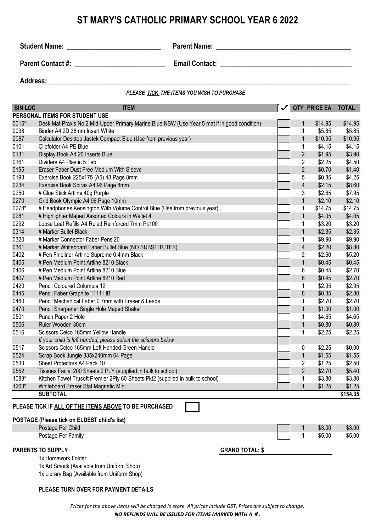## **ST MARY'S CATHOLIC PRIMARY SCHOOL YEAR 6 2022**

**Student Name:** \_\_\_\_\_\_\_\_\_\_\_\_\_\_\_\_\_\_\_\_\_\_\_\_\_\_\_ **Parent Name: \_\_\_\_\_\_\_\_\_\_\_\_\_\_\_\_\_\_\_\_\_\_\_\_\_\_\_\_\_\_\_\_\_\_\_\_\_\_\_**

**Parent Contact #: example 2 example 2 Email Contact:**  $\blacksquare$ 

Address: **and a set of the set of the set of the set of the set of the set of the set of the set of the set of the set of the set of the set of the set of the set of the set of the set of the set of the set of the set of t** 

*PLEASE TICK THE ITEMS YOU WISH TO PURCHASE*

| <b>BIN LOC</b> | <b>ITEM</b>                                                                                  | $\checkmark$           |                  | QTY PRICE EA TOTAL |          |
|----------------|----------------------------------------------------------------------------------------------|------------------------|------------------|--------------------|----------|
|                | PERSONAL ITEMS FOR STUDENT USE                                                               |                        |                  |                    |          |
| 0015*          | Desk Mat Praxis No.2 Mid-Upper Primary Marine Blue NSW (Use Year 5 mat if in good condition) |                        | 1                | \$14.95            | \$14.95  |
| 0038           | Binder A4 2D 38mm Insert White                                                               |                        | 1                | \$5.85             | \$5.85   |
| 0087           | Calculator Desktop Jastek Compact Blue (Use from previous year)                              |                        | $\mathbf 1$      | \$10.95            | \$10.95  |
| 0101           | Clipfolder A4 PE Blue                                                                        |                        | 1                | \$4.15             | \$4.15   |
| 0131           | Display Book A4 20 Inserts Blue                                                              |                        | $\overline{2}$   | \$1.95             | \$3.90   |
| 0161           | Dividers A4 Plastic 5 Tab                                                                    |                        | $\overline{2}$   | \$2.25             | \$4.50   |
| 0195           | Eraser Faber Dust Free Medium With Sleeve                                                    |                        | $\overline{2}$   | \$0.70             | \$1.40   |
| 0198           | Exercise Book 225x175 (A5) 48 Page 8mm                                                       |                        | 5                | \$0.85             | \$4.25   |
| 0234           | Exercise Book Spirax A4 96 Page 8mm                                                          |                        | $\overline{4}$   | \$2.15             | \$8.60   |
| 0250           | # Glue Stick Artline 40g Purple                                                              |                        | 3                | \$2.65             | \$7.95   |
| 0270           | Grid Book Olympic A4 96 Page 10mm                                                            |                        | $\mathbf{1}$     | \$2.10             | \$2.10   |
| 0278*          | # Headphones Kensington With Volume Control Blue (Use from previous year)                    |                        | 1                | \$14.75            | \$14.75  |
| 0281           | # Highlighter Maped Assorted Colours in Wallet 4                                             |                        | $\mathbf{1}$     | \$4.05             | \$4.05   |
| 0292           | Loose Leaf Refills A4 Ruled Reinforced 7mm Pk100                                             |                        | 1                | \$3.20             | \$3.20   |
| 0314           | # Marker Bullet Black                                                                        |                        | $\mathbf{1}$     | \$2.35             | \$2.35   |
| 0320           | # Marker Connector Faber Pens 20                                                             |                        | 1                | \$9.90             | \$9.90   |
| 0361           | # Marker Whiteboard Faber Bullet Blue (NO SUBSTITUTES)                                       |                        | $\overline{4}$   | \$2.20             | \$8.80   |
| 0402           | # Pen Fineliner Artline Supreme 0.4mm Black                                                  |                        | $\overline{c}$   | \$2.60             | \$5.20   |
| 0405           | # Pen Medium Point Artline 8210 Black                                                        |                        | $\mathbf{1}$     | \$0.45             | \$0.45   |
| 0406           | # Pen Medium Point Artline 8210 Blue                                                         |                        | 6                | \$0.45             | \$2.70   |
| 0407           | # Pen Medium Point Artline 8210 Red                                                          |                        | $\boldsymbol{6}$ | \$0.45             | \$2.70   |
| 0420           | Pencil Coloured Columbia 12                                                                  |                        | 1                | \$2.95             | \$2.95   |
| 0445           | Pencil Faber Graphite 1111 HB                                                                |                        | 8                | \$0.35             | \$2.80   |
| 0460           | Pencil Mechanical Faber 0.7mm with Eraser & Leads                                            |                        | 1                | \$2.70             | \$2.70   |
| 0470           | Pencil Sharpener Single Hole Maped Shaker                                                    |                        | $\mathbf{1}$     | \$1.00             | \$1.00   |
| 0501           | Punch Paper 2 Hole                                                                           |                        | 1                | \$4.65             | \$4.65   |
| 0506           | Ruler Wooden 30cm                                                                            |                        | $\mathbf 1$      | \$0.80             | \$0.80   |
| 0516           | Scissors Celco 165mm Yellow Handle                                                           |                        | 1                | \$2.25             | \$2.25   |
|                | If your child is left handed, please select the scissors below                               |                        |                  |                    |          |
| 0517           | Scissors Celco 165mm Left Handed Green Handle                                                |                        | 0                | \$2.25             | \$0.00   |
| 0524           | Scrap Book Jungle 335x240mm 64 Page                                                          |                        | $\mathbf 1$      | \$1.55             | \$1.55   |
| 0533           | Sheet Protectors A4 Pack 10                                                                  |                        | $\overline{c}$   | \$1.25             | \$2.50   |
| 0552           | Tissues Facial 200 Sheets 2 PLY (supplied in bulk to school)                                 |                        | $\overline{2}$   | \$2.70             | \$5.40   |
| 1083*          | Kitchen Towel Trusoft Premier 2Ply 60 Sheets Pkt2 (supplied in bulk to school)               |                        | 1                | \$3.80             | \$3.80   |
| 1263*          | Whiteboard Eraser Stat Magnetic Mini                                                         |                        | 1                | \$1.25             | \$1.25   |
|                | <b>SUBTOTAL</b>                                                                              |                        |                  |                    | \$154.35 |
|                | PLEASE TICK IF ALL OF THE ITEMS ABOVE TO BE PURCHASED                                        |                        |                  |                    |          |
|                | POSTAGE (Please tick on ELDEST child's list)                                                 |                        |                  |                    |          |
|                | Postage Per Child                                                                            |                        |                  | \$3.00             | \$3.00   |
|                | Postage Per Family                                                                           |                        | 1                | \$5.00             | \$5.00   |
|                |                                                                                              |                        |                  |                    |          |
|                | <b>PARENTS TO SUPPLY</b>                                                                     | <b>GRAND TOTAL: \$</b> |                  |                    |          |
|                | 1x Homework Folder                                                                           |                        |                  |                    |          |

1x Art Smock (Available from Uniform Shop) 1x Library Bag (Available from Uniform Shop)

#### **PLEASE TURN OVER FOR PAYMENT DETAILS**

*Prices for the above items will be charged in store. All prices include GST. Prices are subject to change. NO REFUNDS WILL BE ISSUED FOR ITEMS MARKED WITH A # .*